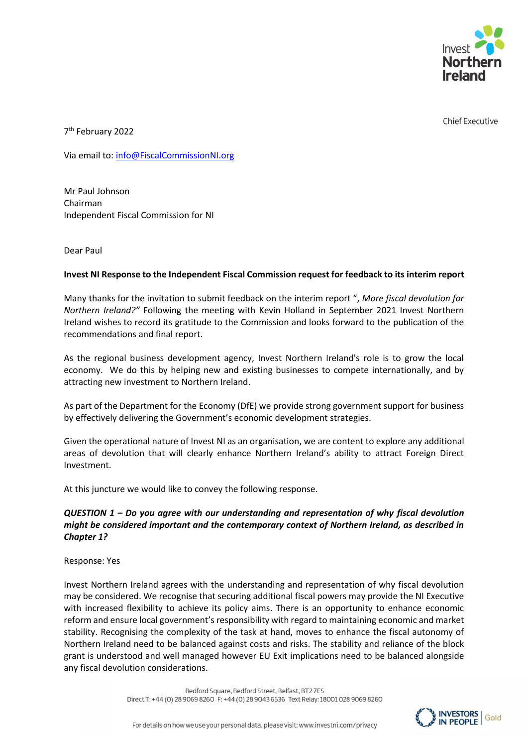

**Chief Executive** 

7 th February 2022

Via email to[: info@FiscalCommissionNI.org](mailto:info@FiscalCommissionNI.org)

Mr Paul Johnson Chairman Independent Fiscal Commission for NI

Dear Paul

### **Invest NI Response to the Independent Fiscal Commission request for feedback to its interim report**

Many thanks for the invitation to submit feedback on the interim report ", *More fiscal devolution for Northern Ireland?"* Following the meeting with Kevin Holland in September 2021 Invest Northern Ireland wishes to record its gratitude to the Commission and looks forward to the publication of the recommendations and final report.

As the regional business development agency, Invest Northern Ireland's role is to grow the local economy. We do this by helping new and existing businesses to compete internationally, and by attracting new investment to Northern Ireland.

As part of the Department for the Economy (DfE) we provide strong government support for business by effectively delivering the Government's economic development strategies.

Given the operational nature of Invest NI as an organisation, we are content to explore any additional areas of devolution that will clearly enhance Northern Ireland's ability to attract Foreign Direct Investment.

At this juncture we would like to convey the following response.

## *QUESTION 1 – Do you agree with our understanding and representation of why fiscal devolution might be considered important and the contemporary context of Northern Ireland, as described in Chapter 1?*

Response: Yes

Invest Northern Ireland agrees with the understanding and representation of why fiscal devolution may be considered. We recognise that securing additional fiscal powers may provide the NI Executive with increased flexibility to achieve its policy aims. There is an opportunity to enhance economic reform and ensure local government's responsibility with regard to maintaining economic and market stability. Recognising the complexity of the task at hand, moves to enhance the fiscal autonomy of Northern Ireland need to be balanced against costs and risks. The stability and reliance of the block grant is understood and well managed however EU Exit implications need to be balanced alongside any fiscal devolution considerations.

> Bedford Square, Bedford Street, Belfast, BT27ES Direct T: +44 (0) 28 9069 8260 F: +44 (0) 28 9043 6536 Text Relay: 18001 028 9069 8260

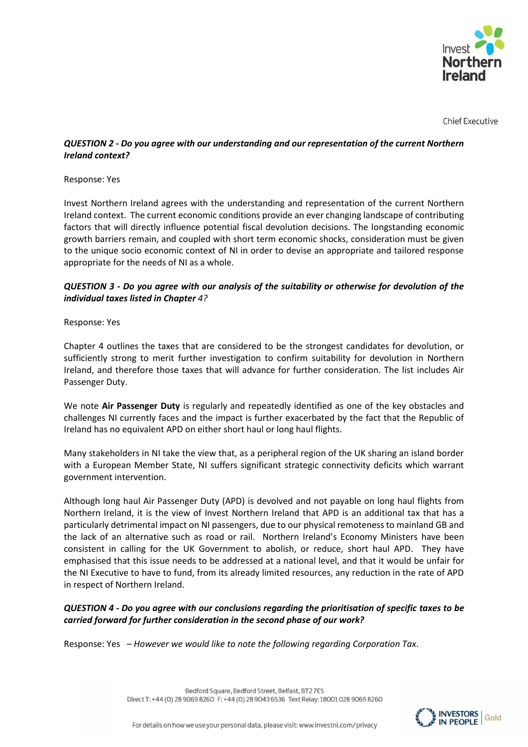

**Chief Executive** 

## *QUESTION 2 - Do you agree with our understanding and our representation of the current Northern Ireland context?*

### Response: Yes

Invest Northern Ireland agrees with the understanding and representation of the current Northern Ireland context. The current economic conditions provide an ever changing landscape of contributing factors that will directly influence potential fiscal devolution decisions. The longstanding economic growth barriers remain, and coupled with short term economic shocks, consideration must be given to the unique socio economic context of NI in order to devise an appropriate and tailored response appropriate for the needs of NI as a whole.

# *QUESTION 3 - Do you agree with our analysis of the suitability or otherwise for devolution of the individual taxes listed in Chapter 4?*

### Response: Yes

Chapter 4 outlines the taxes that are considered to be the strongest candidates for devolution, or sufficiently strong to merit further investigation to confirm suitability for devolution in Northern Ireland, and therefore those taxes that will advance for further consideration. The list includes Air Passenger Duty.

We note **Air Passenger Duty** is regularly and repeatedly identified as one of the key obstacles and challenges NI currently faces and the impact is further exacerbated by the fact that the Republic of Ireland has no equivalent APD on either short haul or long haul flights.

Many stakeholders in NI take the view that, as a peripheral region of the UK sharing an island border with a European Member State, NI suffers significant strategic connectivity deficits which warrant government intervention.

Although long haul Air Passenger Duty (APD) is devolved and not payable on long haul flights from Northern Ireland, it is the view of Invest Northern Ireland that APD is an additional tax that has a particularly detrimental impact on NI passengers, due to our physical remoteness to mainland GB and the lack of an alternative such as road or rail. Northern Ireland's Economy Ministers have been consistent in calling for the UK Government to abolish, or reduce, short haul APD. They have emphasised that this issue needs to be addressed at a national level, and that it would be unfair for the NI Executive to have to fund, from its already limited resources, any reduction in the rate of APD in respect of Northern Ireland.

## *QUESTION 4 - Do you agree with our conclusions regarding the prioritisation of specific taxes to be carried forward for further consideration in the second phase of our work?*

Response: Yes *– However we would like to note the following regarding Corporation Tax.*

Bedford Square, Bedford Street, Belfast, BT27ES Direct T: +44 (0) 28 9069 8260 F: +44 (0) 28 9043 6536 Text Relay: 18001 028 9069 8260